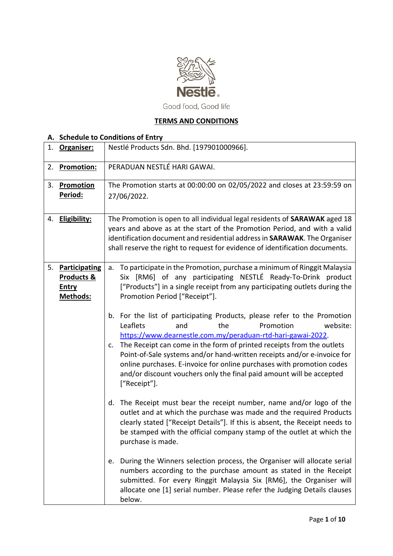

Good food, Good life

## **TERMS AND CONDITIONS**

# **A. Schedule to Conditions of Entry**

| 1. | Organiser:                                                     | Nestlé Products Sdn. Bhd. [197901000966].                                                                                                                                                                                                                                                                                                                                                                                                                                                                                |  |  |
|----|----------------------------------------------------------------|--------------------------------------------------------------------------------------------------------------------------------------------------------------------------------------------------------------------------------------------------------------------------------------------------------------------------------------------------------------------------------------------------------------------------------------------------------------------------------------------------------------------------|--|--|
| 2. | Promotion:                                                     | PERADUAN NESTLÉ HARI GAWAI.                                                                                                                                                                                                                                                                                                                                                                                                                                                                                              |  |  |
| 3. | Promotion<br>Period:                                           | The Promotion starts at 00:00:00 on 02/05/2022 and closes at 23:59:59 on<br>27/06/2022.                                                                                                                                                                                                                                                                                                                                                                                                                                  |  |  |
|    | 4. Eligibility:                                                | The Promotion is open to all individual legal residents of SARAWAK aged 18<br>years and above as at the start of the Promotion Period, and with a valid<br>identification document and residential address in SARAWAK. The Organiser<br>shall reserve the right to request for evidence of identification documents.                                                                                                                                                                                                     |  |  |
| 5. | <b>Participating</b><br>Products &<br><b>Entry</b><br>Methods: | To participate in the Promotion, purchase a minimum of Ringgit Malaysia<br>a.<br>Six [RM6] of any participating NESTLÉ Ready-To-Drink product<br>["Products"] in a single receipt from any participating outlets during the<br>Promotion Period ["Receipt"].                                                                                                                                                                                                                                                             |  |  |
|    |                                                                | For the list of participating Products, please refer to the Promotion<br>b.<br>Leaflets<br>website:<br>and<br>the<br>Promotion<br>https://www.dearnestle.com.my/peraduan-rtd-hari-gawai-2022.<br>The Receipt can come in the form of printed receipts from the outlets<br>c.<br>Point-of-Sale systems and/or hand-written receipts and/or e-invoice for<br>online purchases. E-invoice for online purchases with promotion codes<br>and/or discount vouchers only the final paid amount will be accepted<br>["Receipt"]. |  |  |
|    |                                                                | The Receipt must bear the receipt number, name and/or logo of the<br>d.<br>outlet and at which the purchase was made and the required Products<br>clearly stated ["Receipt Details"]. If this is absent, the Receipt needs to<br>be stamped with the official company stamp of the outlet at which the<br>purchase is made.                                                                                                                                                                                              |  |  |
|    |                                                                | During the Winners selection process, the Organiser will allocate serial<br>e.<br>numbers according to the purchase amount as stated in the Receipt<br>submitted. For every Ringgit Malaysia Six [RM6], the Organiser will<br>allocate one [1] serial number. Please refer the Judging Details clauses<br>below.                                                                                                                                                                                                         |  |  |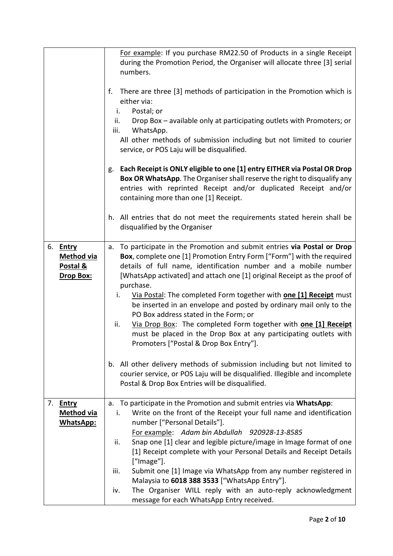|    |                   | For example: If you purchase RM22.50 of Products in a single Receipt           |  |
|----|-------------------|--------------------------------------------------------------------------------|--|
|    |                   | during the Promotion Period, the Organiser will allocate three [3] serial      |  |
|    |                   | numbers.                                                                       |  |
|    |                   |                                                                                |  |
|    |                   | There are three [3] methods of participation in the Promotion which is<br>f.   |  |
|    |                   | either via:                                                                    |  |
|    |                   | Postal; or<br>i.                                                               |  |
|    |                   | Drop Box - available only at participating outlets with Promoters; or<br>ii.   |  |
|    |                   | WhatsApp.<br>iii.                                                              |  |
|    |                   | All other methods of submission including but not limited to courier           |  |
|    |                   | service, or POS Laju will be disqualified.                                     |  |
|    |                   |                                                                                |  |
|    |                   | Each Receipt is ONLY eligible to one [1] entry EITHER via Postal OR Drop<br>g. |  |
|    |                   | Box OR WhatsApp. The Organiser shall reserve the right to disqualify any       |  |
|    |                   | entries with reprinted Receipt and/or duplicated Receipt and/or                |  |
|    |                   | containing more than one [1] Receipt.                                          |  |
|    |                   | h. All entries that do not meet the requirements stated herein shall be        |  |
|    |                   | disqualified by the Organiser                                                  |  |
|    |                   |                                                                                |  |
|    | 6. Entry          | To participate in the Promotion and submit entries via Postal or Drop<br>a.    |  |
|    | <b>Method via</b> | Box, complete one [1] Promotion Entry Form ["Form"] with the required          |  |
|    | Postal &          | details of full name, identification number and a mobile number                |  |
|    | Drop Box:         | [WhatsApp activated] and attach one [1] original Receipt as the proof of       |  |
|    |                   | purchase.                                                                      |  |
|    |                   | Via Postal: The completed Form together with <b>one [1] Receipt</b> must<br>i. |  |
|    |                   | be inserted in an envelope and posted by ordinary mail only to the             |  |
|    |                   | PO Box address stated in the Form; or                                          |  |
|    |                   | Via Drop Box: The completed Form together with one [1] Receipt<br>ii.          |  |
|    |                   | must be placed in the Drop Box at any participating outlets with               |  |
|    |                   | Promoters ["Postal & Drop Box Entry"].                                         |  |
|    |                   |                                                                                |  |
|    |                   | All other delivery methods of submission including but not limited to<br>b.    |  |
|    |                   | courier service, or POS Laju will be disqualified. Illegible and incomplete    |  |
|    |                   | Postal & Drop Box Entries will be disqualified.                                |  |
| 7. | <b>Entry</b>      | a. To participate in the Promotion and submit entries via WhatsApp:            |  |
|    | <b>Method via</b> | Write on the front of the Receipt your full name and identification<br>i.      |  |
|    | <b>WhatsApp:</b>  | number ["Personal Details"].                                                   |  |
|    |                   | For example: Adam bin Abdullah 920928-13-8585                                  |  |
|    |                   | Snap one [1] clear and legible picture/image in Image format of one<br>ii.     |  |
|    |                   | [1] Receipt complete with your Personal Details and Receipt Details            |  |
|    |                   | ["Image"].                                                                     |  |
|    |                   | Submit one [1] Image via WhatsApp from any number registered in<br>iii.        |  |
|    |                   | Malaysia to 6018 388 3533 ["WhatsApp Entry"].                                  |  |
|    |                   | The Organiser WILL reply with an auto-reply acknowledgment<br>iv.              |  |
|    |                   | message for each WhatsApp Entry received.                                      |  |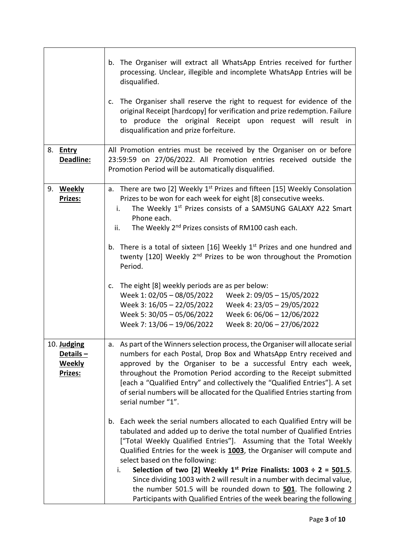|                                                     | The Organiser will extract all WhatsApp Entries received for further<br>b.<br>processing. Unclear, illegible and incomplete WhatsApp Entries will be<br>disqualified.<br>The Organiser shall reserve the right to request for evidence of the<br>c.<br>original Receipt [hardcopy] for verification and prize redemption. Failure<br>to produce the original Receipt upon request will result in<br>disqualification and prize forfeiture.                                                                                                                                                                                                          |
|-----------------------------------------------------|-----------------------------------------------------------------------------------------------------------------------------------------------------------------------------------------------------------------------------------------------------------------------------------------------------------------------------------------------------------------------------------------------------------------------------------------------------------------------------------------------------------------------------------------------------------------------------------------------------------------------------------------------------|
|                                                     |                                                                                                                                                                                                                                                                                                                                                                                                                                                                                                                                                                                                                                                     |
| 8. <b>Entry</b><br>Deadline:                        | All Promotion entries must be received by the Organiser on or before<br>23:59:59 on 27/06/2022. All Promotion entries received outside the<br>Promotion Period will be automatically disqualified.                                                                                                                                                                                                                                                                                                                                                                                                                                                  |
| 9. Weekly<br>Prizes:                                | There are two [2] Weekly $1st$ Prizes and fifteen [15] Weekly Consolation<br>a.<br>Prizes to be won for each week for eight [8] consecutive weeks.<br>The Weekly 1 <sup>st</sup> Prizes consists of a SAMSUNG GALAXY A22 Smart<br>i.<br>Phone each.<br>The Weekly 2 <sup>nd</sup> Prizes consists of RM100 cash each.<br>ii.<br>b. There is a total of sixteen [16] Weekly 1 <sup>st</sup> Prizes and one hundred and<br>twenty [120] Weekly 2 <sup>nd</sup> Prizes to be won throughout the Promotion                                                                                                                                              |
|                                                     | Period.                                                                                                                                                                                                                                                                                                                                                                                                                                                                                                                                                                                                                                             |
|                                                     | The eight [8] weekly periods are as per below:<br>c.<br>Week 2: 09/05 - 15/05/2022<br>Week 1: 02/05 - 08/05/2022<br>Week 3: 16/05 - 22/05/2022<br>Week 4: 23/05 - 29/05/2022<br>Week 5: 30/05 - 05/06/2022<br>Week 6: 06/06 - 12/06/2022<br>Week 7: 13/06 - 19/06/2022<br>Week 8: 20/06 - 27/06/2022                                                                                                                                                                                                                                                                                                                                                |
| 10. Judging<br>Details-<br><b>Weekly</b><br>Prizes: | As part of the Winners selection process, the Organiser will allocate serial<br>а.<br>numbers for each Postal, Drop Box and WhatsApp Entry received and<br>approved by the Organiser to be a successful Entry each week,<br>throughout the Promotion Period according to the Receipt submitted<br>[each a "Qualified Entry" and collectively the "Qualified Entries"]. A set<br>of serial numbers will be allocated for the Qualified Entries starting from<br>serial number "1".                                                                                                                                                                   |
|                                                     | Each week the serial numbers allocated to each Qualified Entry will be<br>b.<br>tabulated and added up to derive the total number of Qualified Entries<br>["Total Weekly Qualified Entries"]. Assuming that the Total Weekly<br>Qualified Entries for the week is 1003, the Organiser will compute and<br>select based on the following:<br>Selection of two [2] Weekly $1^{st}$ Prize Finalists: $1003 \div 2 = 501.5$ .<br>i.<br>Since dividing 1003 with 2 will result in a number with decimal value,<br>the number 501.5 will be rounded down to 501. The following 2<br>Participants with Qualified Entries of the week bearing the following |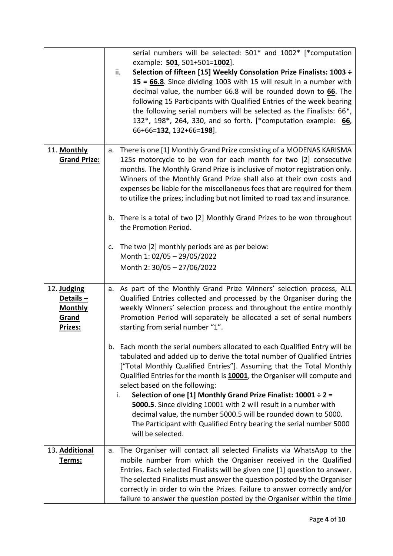|                                                               | serial numbers will be selected: 501* and 1002* [*computation<br>example: 501, 501+501=1002].<br>Selection of fifteen [15] Weekly Consolation Prize Finalists: 1003 ÷<br>ii.                                                                                                                                                                                                                                                                                                                                                                                                                                                                                 |
|---------------------------------------------------------------|--------------------------------------------------------------------------------------------------------------------------------------------------------------------------------------------------------------------------------------------------------------------------------------------------------------------------------------------------------------------------------------------------------------------------------------------------------------------------------------------------------------------------------------------------------------------------------------------------------------------------------------------------------------|
|                                                               | 15 = 66.8. Since dividing 1003 with 15 will result in a number with<br>decimal value, the number 66.8 will be rounded down to 66. The<br>following 15 Participants with Qualified Entries of the week bearing<br>the following serial numbers will be selected as the Finalists: 66*,<br>132*, 198*, 264, 330, and so forth. [*computation example: 66,<br>66+66=132, 132+66=198].                                                                                                                                                                                                                                                                           |
| 11. Monthly<br><b>Grand Prize:</b>                            | a. There is one [1] Monthly Grand Prize consisting of a MODENAS KARISMA<br>125s motorcycle to be won for each month for two [2] consecutive<br>months. The Monthly Grand Prize is inclusive of motor registration only.<br>Winners of the Monthly Grand Prize shall also at their own costs and<br>expenses be liable for the miscellaneous fees that are required for them<br>to utilize the prizes; including but not limited to road tax and insurance.<br>There is a total of two [2] Monthly Grand Prizes to be won throughout<br>b.<br>the Promotion Period.<br>The two [2] monthly periods are as per below:<br>c.                                    |
|                                                               | Month 1: 02/05 - 29/05/2022<br>Month 2: 30/05 - 27/06/2022                                                                                                                                                                                                                                                                                                                                                                                                                                                                                                                                                                                                   |
| 12. Judging<br>Details-<br><b>Monthly</b><br>Grand<br>Prizes: | a. As part of the Monthly Grand Prize Winners' selection process, ALL<br>Qualified Entries collected and processed by the Organiser during the<br>weekly Winners' selection process and throughout the entire monthly<br>Promotion Period will separately be allocated a set of serial numbers<br>starting from serial number "1".                                                                                                                                                                                                                                                                                                                           |
|                                                               | Each month the serial numbers allocated to each Qualified Entry will be<br>b.<br>tabulated and added up to derive the total number of Qualified Entries<br>["Total Monthly Qualified Entries"]. Assuming that the Total Monthly<br>Qualified Entries for the month is 10001, the Organiser will compute and<br>select based on the following:<br>Selection of one [1] Monthly Grand Prize Finalist: $10001 \div 2 =$<br>i.<br>5000.5. Since dividing 10001 with 2 will result in a number with<br>decimal value, the number 5000.5 will be rounded down to 5000.<br>The Participant with Qualified Entry bearing the serial number 5000<br>will be selected. |
| 13. Additional<br>Terms:                                      | The Organiser will contact all selected Finalists via WhatsApp to the<br>а.<br>mobile number from which the Organiser received in the Qualified<br>Entries. Each selected Finalists will be given one [1] question to answer.<br>The selected Finalists must answer the question posted by the Organiser<br>correctly in order to win the Prizes. Failure to answer correctly and/or<br>failure to answer the question posted by the Organiser within the time                                                                                                                                                                                               |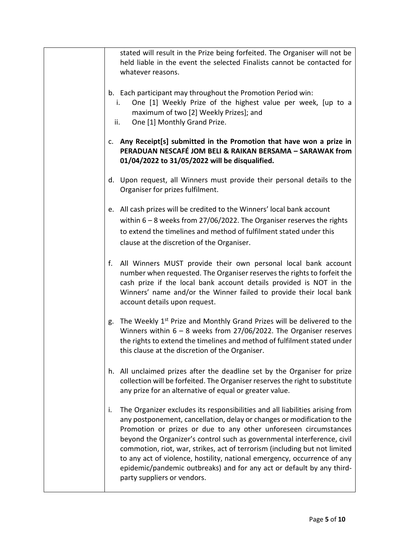| stated will result in the Prize being forfeited. The Organiser will not be<br>held liable in the event the selected Finalists cannot be contacted for<br>whatever reasons.                                                                                                                                                                                                                                                                                                                                                                                                     |
|--------------------------------------------------------------------------------------------------------------------------------------------------------------------------------------------------------------------------------------------------------------------------------------------------------------------------------------------------------------------------------------------------------------------------------------------------------------------------------------------------------------------------------------------------------------------------------|
| b. Each participant may throughout the Promotion Period win:<br>One [1] Weekly Prize of the highest value per week, [up to a<br>i.<br>maximum of two [2] Weekly Prizes]; and<br>One [1] Monthly Grand Prize.<br>ii.                                                                                                                                                                                                                                                                                                                                                            |
| c. Any Receipt[s] submitted in the Promotion that have won a prize in<br>PERADUAN NESCAFÉ JOM BELI & RAIKAN BERSAMA - SARAWAK from<br>01/04/2022 to 31/05/2022 will be disqualified.                                                                                                                                                                                                                                                                                                                                                                                           |
| d. Upon request, all Winners must provide their personal details to the<br>Organiser for prizes fulfilment.                                                                                                                                                                                                                                                                                                                                                                                                                                                                    |
| e. All cash prizes will be credited to the Winners' local bank account<br>within $6 - 8$ weeks from 27/06/2022. The Organiser reserves the rights<br>to extend the timelines and method of fulfilment stated under this<br>clause at the discretion of the Organiser.                                                                                                                                                                                                                                                                                                          |
| All Winners MUST provide their own personal local bank account<br>f.<br>number when requested. The Organiser reserves the rights to forfeit the<br>cash prize if the local bank account details provided is NOT in the<br>Winners' name and/or the Winner failed to provide their local bank<br>account details upon request.                                                                                                                                                                                                                                                  |
| The Weekly 1 <sup>st</sup> Prize and Monthly Grand Prizes will be delivered to the<br>g.<br>Winners within $6 - 8$ weeks from 27/06/2022. The Organiser reserves<br>the rights to extend the timelines and method of fulfilment stated under<br>this clause at the discretion of the Organiser.                                                                                                                                                                                                                                                                                |
| h. All unclaimed prizes after the deadline set by the Organiser for prize<br>collection will be forfeited. The Organiser reserves the right to substitute<br>any prize for an alternative of equal or greater value.                                                                                                                                                                                                                                                                                                                                                           |
| The Organizer excludes its responsibilities and all liabilities arising from<br>i.<br>any postponement, cancellation, delay or changes or modification to the<br>Promotion or prizes or due to any other unforeseen circumstances<br>beyond the Organizer's control such as governmental interference, civil<br>commotion, riot, war, strikes, act of terrorism (including but not limited<br>to any act of violence, hostility, national emergency, occurrence of any<br>epidemic/pandemic outbreaks) and for any act or default by any third-<br>party suppliers or vendors. |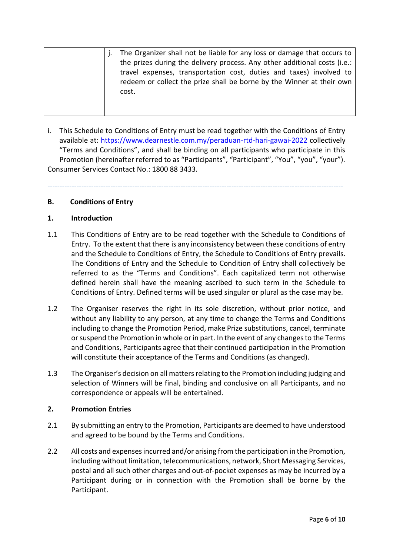|  | The Organizer shall not be liable for any loss or damage that occurs to   |
|--|---------------------------------------------------------------------------|
|  | the prizes during the delivery process. Any other additional costs (i.e.: |
|  | travel expenses, transportation cost, duties and taxes) involved to       |
|  | redeem or collect the prize shall be borne by the Winner at their own     |
|  | cost.                                                                     |
|  |                                                                           |
|  |                                                                           |

i. This Schedule to Conditions of Entry must be read together with the Conditions of Entry available at: <https://www.dearnestle.com.my/peraduan-rtd-hari-gawai-2022> collectively "Terms and Conditions", and shall be binding on all participants who participate in this Promotion (hereinafter referred to as "Participants", "Participant", "You", "you", "your"). Consumer Services Contact No.: 1800 88 3433.

--------------------------------------------------------------------------------------------------------------------------

## **B. Conditions of Entry**

#### **1. Introduction**

- 1.1 This Conditions of Entry are to be read together with the Schedule to Conditions of Entry. To the extent that there is any inconsistency between these conditions of entry and the Schedule to Conditions of Entry, the Schedule to Conditions of Entry prevails. The Conditions of Entry and the Schedule to Condition of Entry shall collectively be referred to as the "Terms and Conditions". Each capitalized term not otherwise defined herein shall have the meaning ascribed to such term in the Schedule to Conditions of Entry. Defined terms will be used singular or plural as the case may be.
- 1.2 The Organiser reserves the right in its sole discretion, without prior notice, and without any liability to any person, at any time to change the Terms and Conditions including to change the Promotion Period, make Prize substitutions, cancel, terminate or suspend the Promotion in whole or in part. In the event of any changes to the Terms and Conditions, Participants agree that their continued participation in the Promotion will constitute their acceptance of the Terms and Conditions (as changed).
- 1.3 The Organiser's decision on all matters relating to the Promotion including judging and selection of Winners will be final, binding and conclusive on all Participants, and no correspondence or appeals will be entertained.

#### **2. Promotion Entries**

- 2.1 By submitting an entry to the Promotion, Participants are deemed to have understood and agreed to be bound by the Terms and Conditions.
- 2.2 All costs and expenses incurred and/or arising from the participation in the Promotion, including without limitation, telecommunications, network, Short Messaging Services, postal and all such other charges and out-of-pocket expenses as may be incurred by a Participant during or in connection with the Promotion shall be borne by the Participant.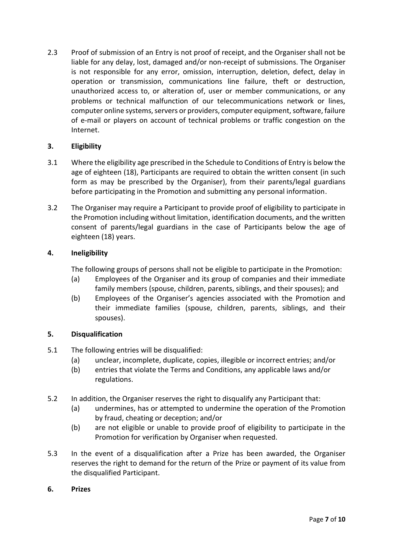2.3 Proof of submission of an Entry is not proof of receipt, and the Organiser shall not be liable for any delay, lost, damaged and/or non-receipt of submissions. The Organiser is not responsible for any error, omission, interruption, deletion, defect, delay in operation or transmission, communications line failure, theft or destruction, unauthorized access to, or alteration of, user or member communications, or any problems or technical malfunction of our telecommunications network or lines, computer online systems, servers or providers, computer equipment, software, failure of e-mail or players on account of technical problems or traffic congestion on the Internet.

## **3. Eligibility**

- 3.1 Where the eligibility age prescribed in the Schedule to Conditions of Entry is below the age of eighteen (18), Participants are required to obtain the written consent (in such form as may be prescribed by the Organiser), from their parents/legal guardians before participating in the Promotion and submitting any personal information.
- 3.2 The Organiser may require a Participant to provide proof of eligibility to participate in the Promotion including without limitation, identification documents, and the written consent of parents/legal guardians in the case of Participants below the age of eighteen (18) years.

## **4. Ineligibility**

The following groups of persons shall not be eligible to participate in the Promotion:

- (a) Employees of the Organiser and its group of companies and their immediate family members (spouse, children, parents, siblings, and their spouses); and
- (b) Employees of the Organiser's agencies associated with the Promotion and their immediate families (spouse, children, parents, siblings, and their spouses).

#### **5. Disqualification**

- 5.1 The following entries will be disqualified:
	- (a) unclear, incomplete, duplicate, copies, illegible or incorrect entries; and/or
	- (b) entries that violate the Terms and Conditions, any applicable laws and/or regulations.
- 5.2 In addition, the Organiser reserves the right to disqualify any Participant that:
	- (a) undermines, has or attempted to undermine the operation of the Promotion by fraud, cheating or deception; and/or
	- (b) are not eligible or unable to provide proof of eligibility to participate in the Promotion for verification by Organiser when requested.
- 5.3 In the event of a disqualification after a Prize has been awarded, the Organiser reserves the right to demand for the return of the Prize or payment of its value from the disqualified Participant.
- **6. Prizes**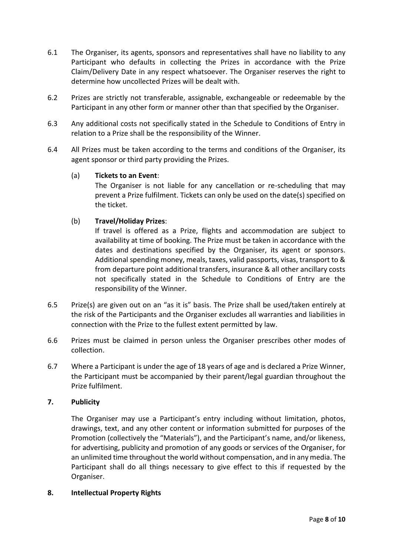- 6.1 The Organiser, its agents, sponsors and representatives shall have no liability to any Participant who defaults in collecting the Prizes in accordance with the Prize Claim/Delivery Date in any respect whatsoever. The Organiser reserves the right to determine how uncollected Prizes will be dealt with.
- 6.2 Prizes are strictly not transferable, assignable, exchangeable or redeemable by the Participant in any other form or manner other than that specified by the Organiser.
- 6.3 Any additional costs not specifically stated in the Schedule to Conditions of Entry in relation to a Prize shall be the responsibility of the Winner.
- 6.4 All Prizes must be taken according to the terms and conditions of the Organiser, its agent sponsor or third party providing the Prizes.

#### (a) **Tickets to an Event**:

The Organiser is not liable for any cancellation or re-scheduling that may prevent a Prize fulfilment. Tickets can only be used on the date(s) specified on the ticket.

## (b) **Travel/Holiday Prizes**:

If travel is offered as a Prize, flights and accommodation are subject to availability at time of booking. The Prize must be taken in accordance with the dates and destinations specified by the Organiser, its agent or sponsors. Additional spending money, meals, taxes, valid passports, visas, transport to & from departure point additional transfers, insurance & all other ancillary costs not specifically stated in the Schedule to Conditions of Entry are the responsibility of the Winner.

- 6.5 Prize(s) are given out on an "as it is" basis. The Prize shall be used/taken entirely at the risk of the Participants and the Organiser excludes all warranties and liabilities in connection with the Prize to the fullest extent permitted by law.
- 6.6 Prizes must be claimed in person unless the Organiser prescribes other modes of collection.
- 6.7 Where a Participant is under the age of 18 years of age and is declared a Prize Winner, the Participant must be accompanied by their parent/legal guardian throughout the Prize fulfilment.

#### **7. Publicity**

The Organiser may use a Participant's entry including without limitation, photos, drawings, text, and any other content or information submitted for purposes of the Promotion (collectively the "Materials"), and the Participant's name, and/or likeness, for advertising, publicity and promotion of any goods or services of the Organiser, for an unlimited time throughout the world without compensation, and in any media. The Participant shall do all things necessary to give effect to this if requested by the Organiser.

#### **8. Intellectual Property Rights**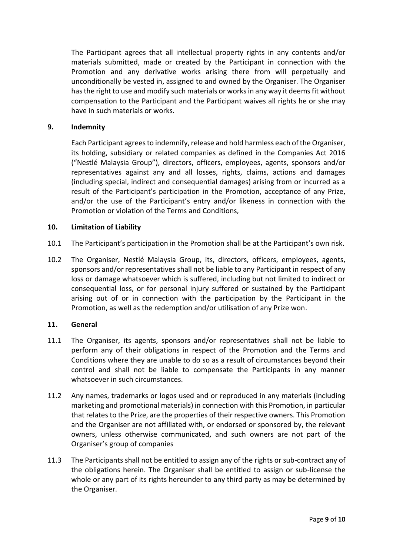The Participant agrees that all intellectual property rights in any contents and/or materials submitted, made or created by the Participant in connection with the Promotion and any derivative works arising there from will perpetually and unconditionally be vested in, assigned to and owned by the Organiser. The Organiser has the right to use and modify such materials or works in any way it deems fit without compensation to the Participant and the Participant waives all rights he or she may have in such materials or works.

#### **9. Indemnity**

Each Participant agrees to indemnify, release and hold harmless each of the Organiser, its holding, subsidiary or related companies as defined in the Companies Act 2016 ("Nestlé Malaysia Group"), directors, officers, employees, agents, sponsors and/or representatives against any and all losses, rights, claims, actions and damages (including special, indirect and consequential damages) arising from or incurred as a result of the Participant's participation in the Promotion, acceptance of any Prize, and/or the use of the Participant's entry and/or likeness in connection with the Promotion or violation of the Terms and Conditions,

#### **10. Limitation of Liability**

- 10.1 The Participant's participation in the Promotion shall be at the Participant's own risk.
- 10.2 The Organiser, Nestlé Malaysia Group, its, directors, officers, employees, agents, sponsors and/or representatives shall not be liable to any Participant in respect of any loss or damage whatsoever which is suffered, including but not limited to indirect or consequential loss, or for personal injury suffered or sustained by the Participant arising out of or in connection with the participation by the Participant in the Promotion, as well as the redemption and/or utilisation of any Prize won.

#### **11. General**

- 11.1 The Organiser, its agents, sponsors and/or representatives shall not be liable to perform any of their obligations in respect of the Promotion and the Terms and Conditions where they are unable to do so as a result of circumstances beyond their control and shall not be liable to compensate the Participants in any manner whatsoever in such circumstances.
- 11.2 Any names, trademarks or logos used and or reproduced in any materials (including marketing and promotional materials) in connection with this Promotion, in particular that relates to the Prize, are the properties of their respective owners. This Promotion and the Organiser are not affiliated with, or endorsed or sponsored by, the relevant owners, unless otherwise communicated, and such owners are not part of the Organiser's group of companies
- 11.3 The Participants shall not be entitled to assign any of the rights or sub-contract any of the obligations herein. The Organiser shall be entitled to assign or sub-license the whole or any part of its rights hereunder to any third party as may be determined by the Organiser.